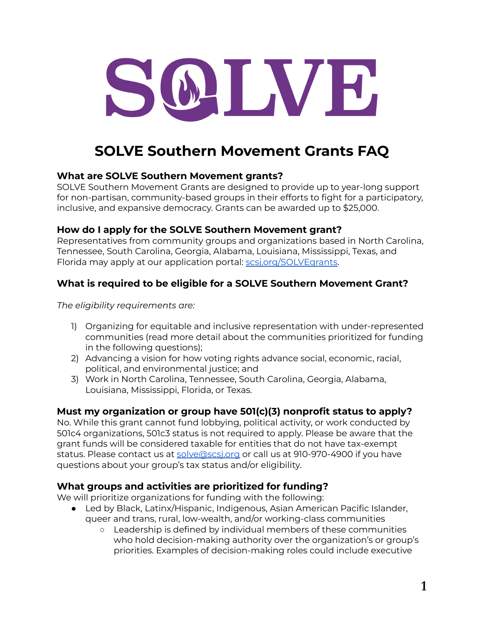

# **SOLVE Southern Movement Grants FAQ**

## **What are SOLVE Southern Movement grants?**

SOLVE Southern Movement Grants are designed to provide up to year-long support for non-partisan, community-based groups in their efforts to fight for a participatory, inclusive, and expansive democracy. Grants can be awarded up to \$25,000.

## **How do I apply for the SOLVE Southern Movement grant?**

Representatives from community groups and organizations based in North Carolina, Tennessee, South Carolina, Georgia, Alabama, Louisiana, Mississippi, Texas, and Florida may apply at our application portal: [scsj.org/SOLVEgrants](http://scsj.org/SOLVEgrants).

# **What is required to be eligible for a SOLVE Southern Movement Grant?**

*The eligibility requirements are:*

- 1) Organizing for equitable and inclusive representation with under-represented communities (read more detail about the communities prioritized for funding in the following questions);
- 2) Advancing a vision for how voting rights advance social, economic, racial, political, and environmental justice; and
- 3) Work in North Carolina, Tennessee, South Carolina, Georgia, Alabama, Louisiana, Mississippi, Florida, or Texas.

#### **Must my organization or group have 501(c)(3) nonprofit status to apply?**

No. While this grant cannot fund lobbying, political activity, or work conducted by 501c4 organizations, 501c3 status is not required to apply. Please be aware that the grant funds will be considered taxable for entities that do not have tax-exempt status. Please contact us at [solve@scsj.org](mailto:solve@scsj.org) or call us at 910-970-4900 if you have questions about your group's tax status and/or eligibility.

# **What groups and activities are prioritized for funding?**

We will prioritize organizations for funding with the following:

- Led by Black, Latinx/Hispanic, Indigenous, Asian American Pacific Islander, queer and trans, rural, low-wealth, and/or working-class communities
	- Leadership is defined by individual members of these communities who hold decision-making authority over the organization's or group's priorities. Examples of decision-making roles could include executive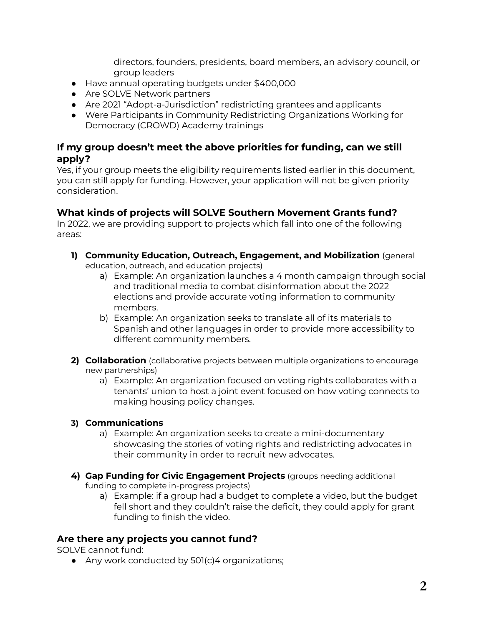directors, founders, presidents, board members, an advisory council, or group leaders

- Have annual operating budgets under \$400,000
- Are SOLVE Network partners
- Are 2021 "Adopt-a-Jurisdiction" redistricting grantees and applicants
- Were Participants in Community Redistricting Organizations Working for Democracy (CROWD) Academy trainings

#### **If my group doesn't meet the above priorities for funding, can we still apply?**

Yes, if your group meets the eligibility requirements listed earlier in this document, you can still apply for funding. However, your application will not be given priority consideration.

## **What kinds of projects will SOLVE Southern Movement Grants fund?**

In 2022, we are providing support to projects which fall into one of the following areas:

- **1) Community Education, Outreach, Engagement, and Mobilization** (general education, outreach, and education projects)
	- a) Example: An organization launches a 4 month campaign through social and traditional media to combat disinformation about the 2022 elections and provide accurate voting information to community members.
	- b) Example: An organization seeks to translate all of its materials to Spanish and other languages in order to provide more accessibility to different community members.
- **2) Collaboration** (collaborative projects between multiple organizations to encourage new partnerships)
	- a) Example: An organization focused on voting rights collaborates with a tenants' union to host a joint event focused on how voting connects to making housing policy changes.

#### **3) Communications**

- a) Example: An organization seeks to create a mini-documentary showcasing the stories of voting rights and redistricting advocates in their community in order to recruit new advocates.
- **4) Gap Funding for Civic Engagement Projects** (groups needing additional funding to complete in-progress projects)
	- a) Example: if a group had a budget to complete a video, but the budget fell short and they couldn't raise the deficit, they could apply for grant funding to finish the video.

#### **Are there any projects you cannot fund?**

SOLVE cannot fund:

● Any work conducted by 501(c)4 organizations;